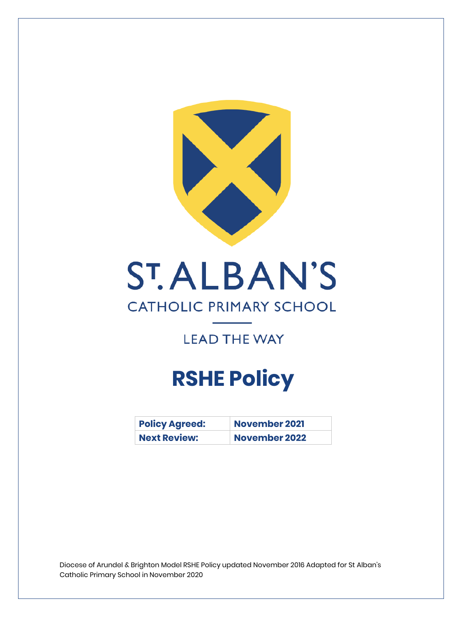

# **ST.ALBAN'S**

# **CATHOLIC PRIMARY SCHOOL**

# **LEAD THE WAY**

# **RSHE Policy**

| <b>Policy Agreed:</b> | <b>November 2021</b> |
|-----------------------|----------------------|
| <b>Next Review:</b>   | November 2022        |

Diocese of Arundel & Brighton Model RSHE Policy updated November 2016 Adapted for St Alban's Catholic Primary School in November 2020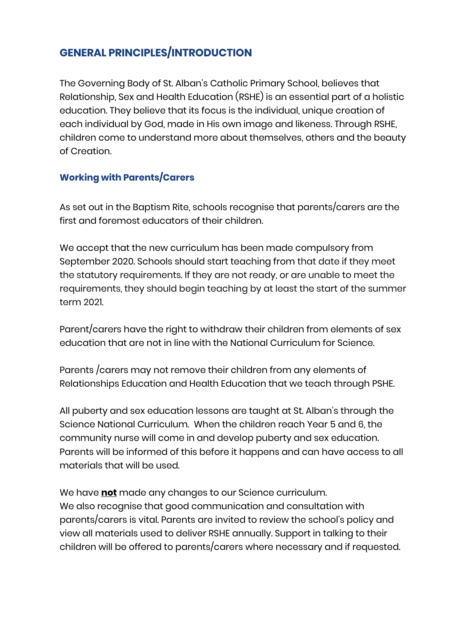# **GENERAL PRINCIPLES/INTRODUCTION**

The Governing Body of St. Alban's Catholic Primary School, believes that Relationship, Sex and Health Education (RSHE) is an essential part of a holistic education. They believe that its focus is the individual, unique creation of each individual by God, made in His own image and likeness. Through RSHE, children come to understand more about themselves, others and the beauty of Creation.

## **Working with Parents/Carers**

As set out in the Baptism Rite, schools recognise that parents/carers are the first and foremost educators of their children.

We accept that the new curriculum has been made compulsory from September 2020. Schools should start teaching from that date if they meet the statutory requirements. If they are not ready, or are unable to meet the requirements, they should begin teaching by at least the start of the summer term 2021.

Parent/carers have the right to withdraw their children from elements of sex education that are not in line with the National Curriculum for Science.

Parents /carers may not remove their children from any elements of Relationships Education and Health Education that we teach through PSHE.

All puberty and sex education lessons are taught at St. Alban's through the Science National Curriculum. When the children reach Year 5 and 6, the community nurse will come in and develop puberty and sex education. Parents will be informed of this before it happens and can have access to all materials that will be used.

We have **not** made any changes to our Science curriculum. We also recognise that good communication and consultation with parents/carers is vital. Parents are invited to review the school's policy and view all materials used to deliver RSHE annually. Support in talking to their children will be offered to parents/carers where necessary and if requested.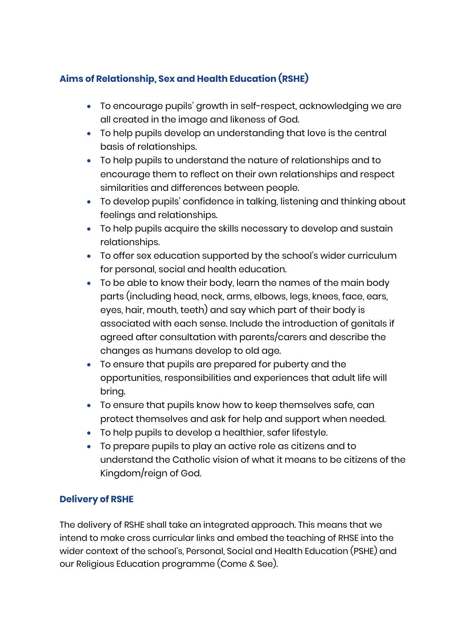# **Aims of Relationship, Sex and Health Education (RSHE)**

- To encourage pupils' growth in self-respect, acknowledging we are all created in the image and likeness of God.
- To help pupils develop an understanding that love is the central basis of relationships.
- To help pupils to understand the nature of relationships and to encourage them to reflect on their own relationships and respect similarities and differences between people.
- To develop pupils' confidence in talking, listening and thinking about feelings and relationships.
- To help pupils acquire the skills necessary to develop and sustain relationships.
- To offer sex education supported by the school's wider curriculum for personal, social and health education.
- To be able to know their body, learn the names of the main body parts (including head, neck, arms, elbows, legs, knees, face, ears, eyes, hair, mouth, teeth) and say which part of their body is associated with each sense. Include the introduction of genitals if agreed after consultation with parents/carers and describe the changes as humans develop to old age.
- To ensure that pupils are prepared for puberty and the opportunities, responsibilities and experiences that adult life will bring.
- To ensure that pupils know how to keep themselves safe, can protect themselves and ask for help and support when needed.
- To help pupils to develop a healthier, safer lifestyle.
- To prepare pupils to play an active role as citizens and to understand the Catholic vision of what it means to be citizens of the Kingdom/reign of God.

## **Delivery of RSHE**

The delivery of RSHE shall take an integrated approach. This means that we intend to make cross curricular links and embed the teaching of RHSE into the wider context of the school's, Personal, Social and Health Education (PSHE) and our Religious Education programme (Come & See).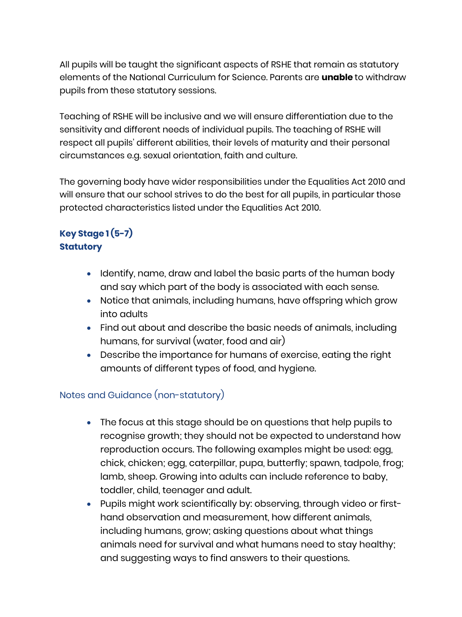All pupils will be taught the significant aspects of RSHE that remain as statutory elements of the National Curriculum for Science. Parents are **unable** to withdraw pupils from these statutory sessions.

Teaching of RSHE will be inclusive and we will ensure differentiation due to the sensitivity and different needs of individual pupils. The teaching of RSHE will respect all pupils' different abilities, their levels of maturity and their personal circumstances e.g. sexual orientation, faith and culture.

The governing body have wider responsibilities under the Equalities Act 2010 and will ensure that our school strives to do the best for all pupils, in particular those protected characteristics listed under the Equalities Act 2010.

## **Key Stage 1 (5-7) Statutory**

- Identify, name, draw and label the basic parts of the human body and say which part of the body is associated with each sense.
- Notice that animals, including humans, have offspring which grow into adults
- Find out about and describe the basic needs of animals, including humans, for survival (water, food and air)
- Describe the importance for humans of exercise, eating the right amounts of different types of food, and hygiene.

#### Notes and Guidance (non-statutory)

- The focus at this stage should be on questions that help pupils to recognise growth; they should not be expected to understand how reproduction occurs. The following examples might be used: egg, chick, chicken; egg, caterpillar, pupa, butterfly; spawn, tadpole, frog; lamb, sheep. Growing into adults can include reference to baby, toddler, child, teenager and adult.
- Pupils might work scientifically by: observing, through video or firsthand observation and measurement, how different animals, including humans, grow; asking questions about what things animals need for survival and what humans need to stay healthy; and suggesting ways to find answers to their questions.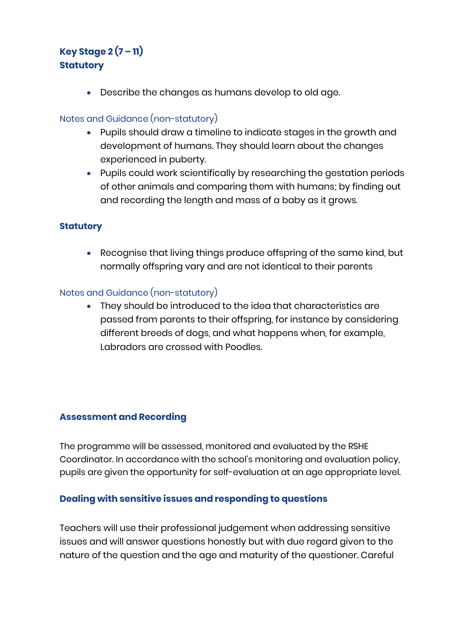# **Key Stage 2 (7 – 11) Statutory**

• Describe the changes as humans develop to old age.

#### Notes and Guidance (non-statutory)

- Pupils should draw a timeline to indicate stages in the growth and development of humans. They should learn about the changes experienced in puberty.
- Pupils could work scientifically by researching the gestation periods of other animals and comparing them with humans; by finding out and recording the length and mass of a baby as it grows.

#### **Statutory**

• Recognise that living things produce offspring of the same kind, but normally offspring vary and are not identical to their parents

#### Notes and Guidance (non-statutory)

• They should be introduced to the idea that characteristics are passed from parents to their offspring, for instance by considering different breeds of dogs, and what happens when, for example, Labradors are crossed with Poodles.

#### **Assessment and Recording**

The programme will be assessed, monitored and evaluated by the RSHE Coordinator. In accordance with the school's monitoring and evaluation policy, pupils are given the opportunity for self-evaluation at an age appropriate level.

#### **Dealing with sensitive issues and responding to questions**

Teachers will use their professional judgement when addressing sensitive issues and will answer questions honestly but with due regard given to the nature of the question and the age and maturity of the questioner. Careful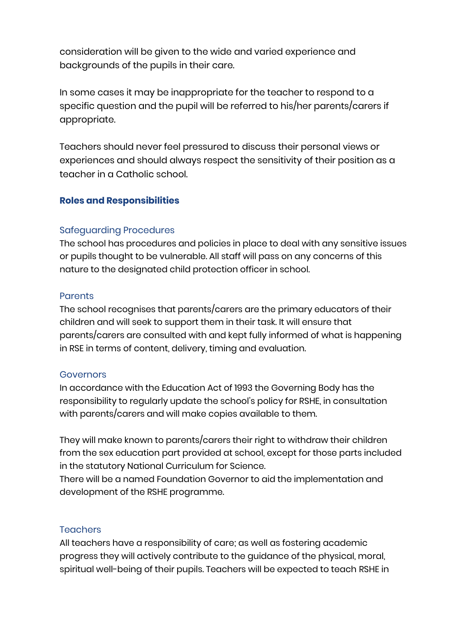consideration will be given to the wide and varied experience and backgrounds of the pupils in their care.

In some cases it may be inappropriate for the teacher to respond to a specific question and the pupil will be referred to his/her parents/carers if appropriate.

Teachers should never feel pressured to discuss their personal views or experiences and should always respect the sensitivity of their position as a teacher in a Catholic school.

#### **Roles and Responsibilities**

#### Safeguarding Procedures

The school has procedures and policies in place to deal with any sensitive issues or pupils thought to be vulnerable. All staff will pass on any concerns of this nature to the designated child protection officer in school.

#### **Parents**

The school recognises that parents/carers are the primary educators of their children and will seek to support them in their task. It will ensure that parents/carers are consulted with and kept fully informed of what is happening in RSE in terms of content, delivery, timing and evaluation.

#### **Governors**

In accordance with the Education Act of 1993 the Governing Body has the responsibility to regularly update the school's policy for RSHE, in consultation with parents/carers and will make copies available to them.

They will make known to parents/carers their right to withdraw their children from the sex education part provided at school, except for those parts included in the statutory National Curriculum for Science.

There will be a named Foundation Governor to aid the implementation and development of the RSHE programme.

#### **Teachers**

All teachers have a responsibility of care; as well as fostering academic progress they will actively contribute to the guidance of the physical, moral, spiritual well-being of their pupils. Teachers will be expected to teach RSHE in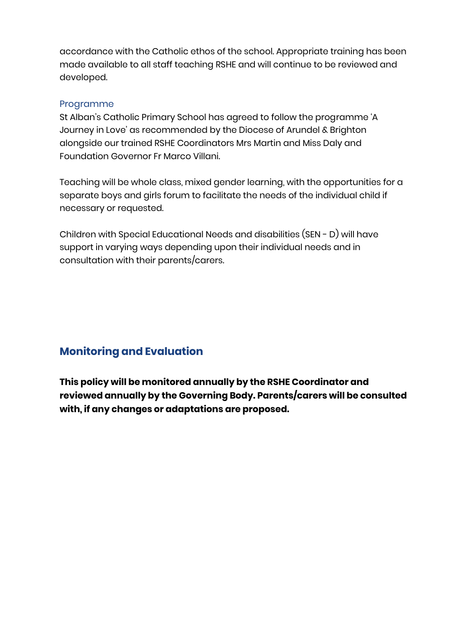accordance with the Catholic ethos of the school. Appropriate training has been made available to all staff teaching RSHE and will continue to be reviewed and developed.

#### Programme

St Alban's Catholic Primary School has agreed to follow the programme 'A Journey in Love' as recommended by the Diocese of Arundel & Brighton alongside our trained RSHE Coordinators Mrs Martin and Miss Daly and Foundation Governor Fr Marco Villani.

Teaching will be whole class, mixed gender learning, with the opportunities for a separate boys and girls forum to facilitate the needs of the individual child if necessary or requested.

Children with Special Educational Needs and disabilities (SEN - D) will have support in varying ways depending upon their individual needs and in consultation with their parents/carers.

# **Monitoring and Evaluation**

**This policy will be monitored annually by the RSHE Coordinator and reviewed annually by the Governing Body. Parents/carers will be consulted with, if any changes or adaptations are proposed.**